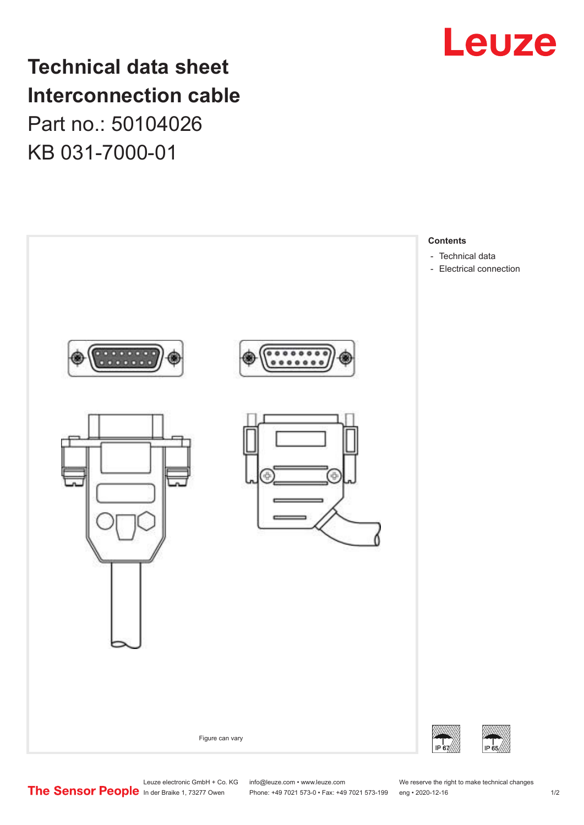

**Technical data sheet Interconnection cable** Part no.: 50104026 KB 031-7000-01



Leuze electronic GmbH + Co. KG info@leuze.com • www.leuze.com We reserve the right to make technical changes<br>
The Sensor People in der Braike 1, 73277 Owen Phone: +49 7021 573-0 • Fax: +49 7021 573-199 eng • 2020-12-16

Phone: +49 7021 573-0 • Fax: +49 7021 573-199 eng • 2020-12-16